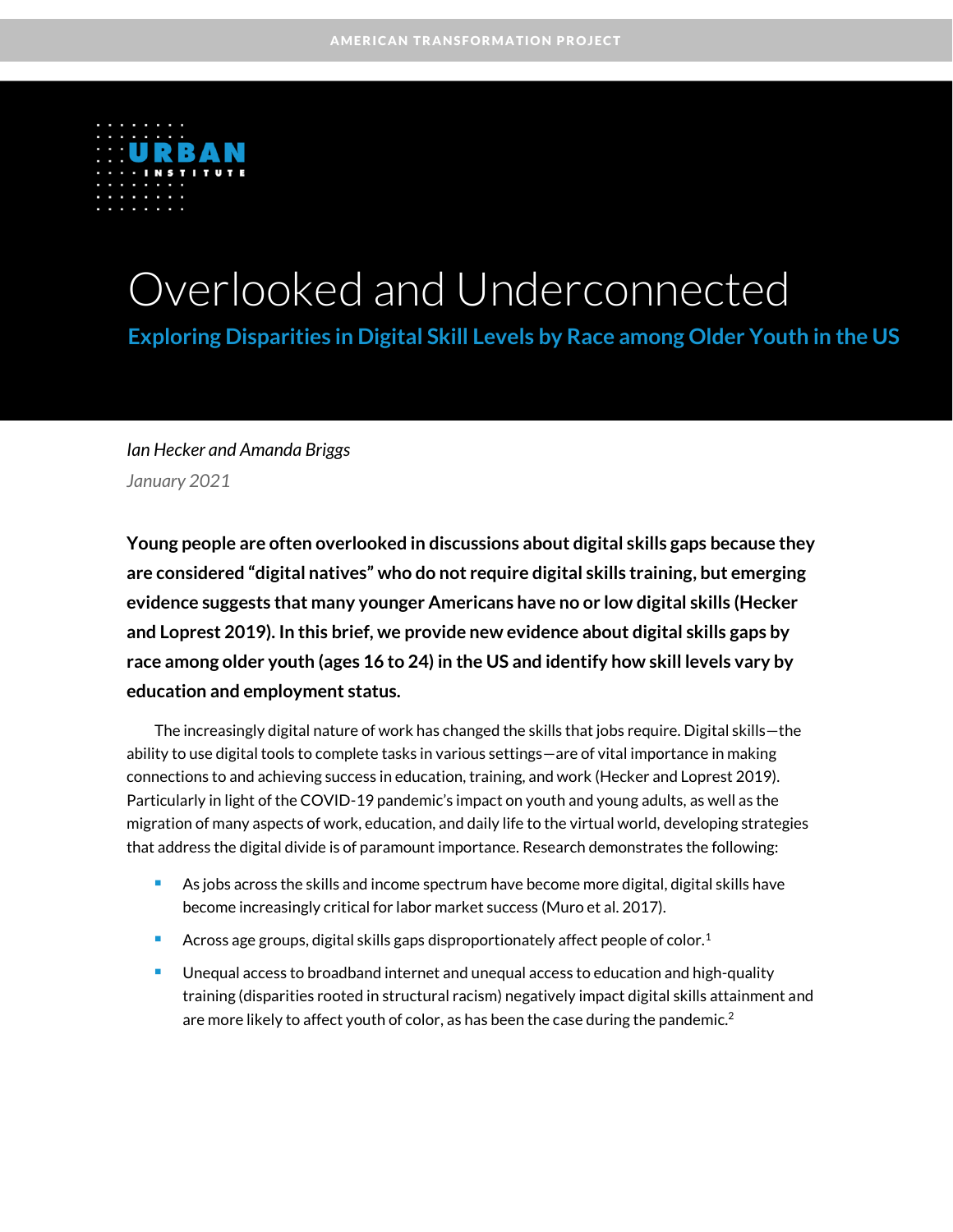

# Overlooked and Underconnected

**Exploring Disparities in Digital Skill Levels by Race among Older Youth in the US**

*Ian Hecker and Amanda Briggs January 2021*

**Young people are often overlooked in discussions about digital skills gaps because they are considered "digital natives" who do not require digital skills training, but emerging evidence suggests that many younger Americans have no or low digital skills (Hecker and Loprest 2019). In this brief, we provide new evidence about digital skills gaps by race among older youth (ages 16 to 24) in the US and identify how skill levels vary by education and employment status.** 

The increasingly digital nature of work has changed the skills that jobs require. Digital skills—the ability to use digital tools to complete tasks in various settings—are of vital importance in making connections to and achieving success in education, training, and work (Hecker and Loprest 2019). Particularly in light of the COVID-19 pandemic's impact on youth and young adults, as well as the migration of many aspects of work, education, and daily life to the virtual world, developing strategies that address the digital divide is of paramount importance. Research demonstrates the following:

- As jobs across the skills and income spectrum have become more digital, digital skills have become increasingly critical for labor market success (Muro et al. 2017).
- Across age groups, digital skills gaps disproportionately affect people of color.<sup>1</sup>
- Unequal access to broadband internet and unequal access to education and high-quality training (disparities rooted in structural racism) negatively impact digital skills attainment and are more likely to affect youth of color, as has been the case during the pandemic. $^2$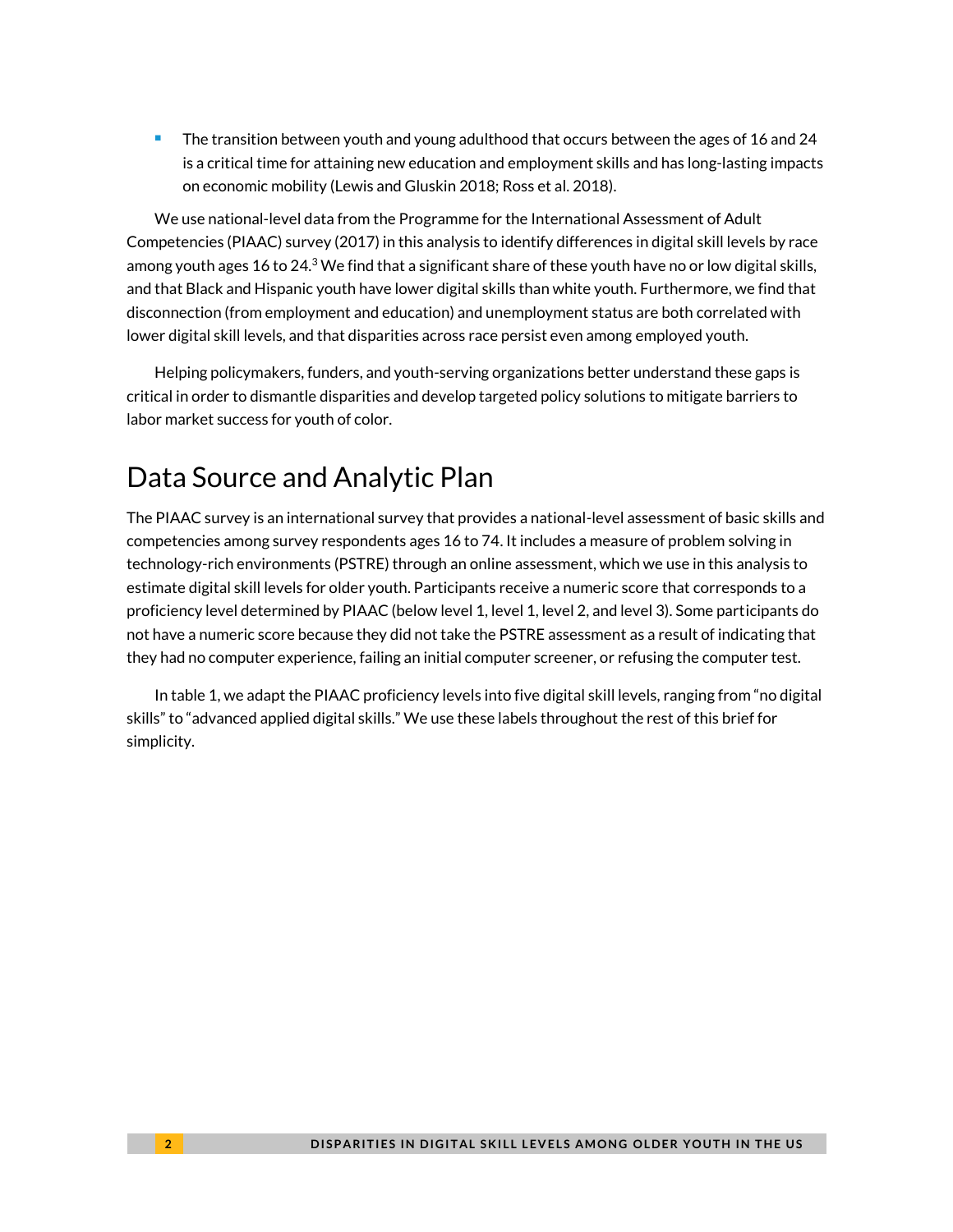<sup>◼</sup> The transition between youth and young adulthood that occurs between the ages of 16 and 24 is a critical time for attaining new education and employment skills and has long-lasting impacts on economic mobility (Lewis and Gluskin 2018; Ross et al. 2018).

We use national-level data from the Programme for the International Assessment of Adult Competencies (PIAAC) survey (2017) in this analysis to identify differences in digital skill levels by race among youth ages 16 to 24.<sup>3</sup> We find that a significant share of these youth have no or low digital skills, and that Black and Hispanic youth have lower digital skills than white youth. Furthermore, we find that disconnection (from employment and education) and unemployment status are both correlated with lower digital skill levels, and that disparities across race persist even among employed youth.

Helping policymakers, funders, and youth-serving organizations better understand these gaps is critical in order to dismantle disparities and develop targeted policy solutions to mitigate barriers to labor market success for youth of color.

## Data Source and Analytic Plan

The PIAAC survey is an international survey that provides a national-level assessment of basic skills and competencies among survey respondents ages 16 to 74. It includes a measure of problem solving in technology-rich environments (PSTRE) through an online assessment, which we use in this analysis to estimate digital skill levels for older youth. Participants receive a numeric score that corresponds to a proficiency level determined by PIAAC (below level 1, level 1, level 2, and level 3). Some participants do not have a numeric score because they did not take the PSTRE assessment as a result of indicating that they had no computer experience, failing an initial computer screener, or refusing the computer test.

In table 1, we adapt the PIAAC proficiency levels into five digital skill levels, ranging from "no digital skills" to "advanced applied digital skills." We use these labels throughout the rest of this brief for simplicity.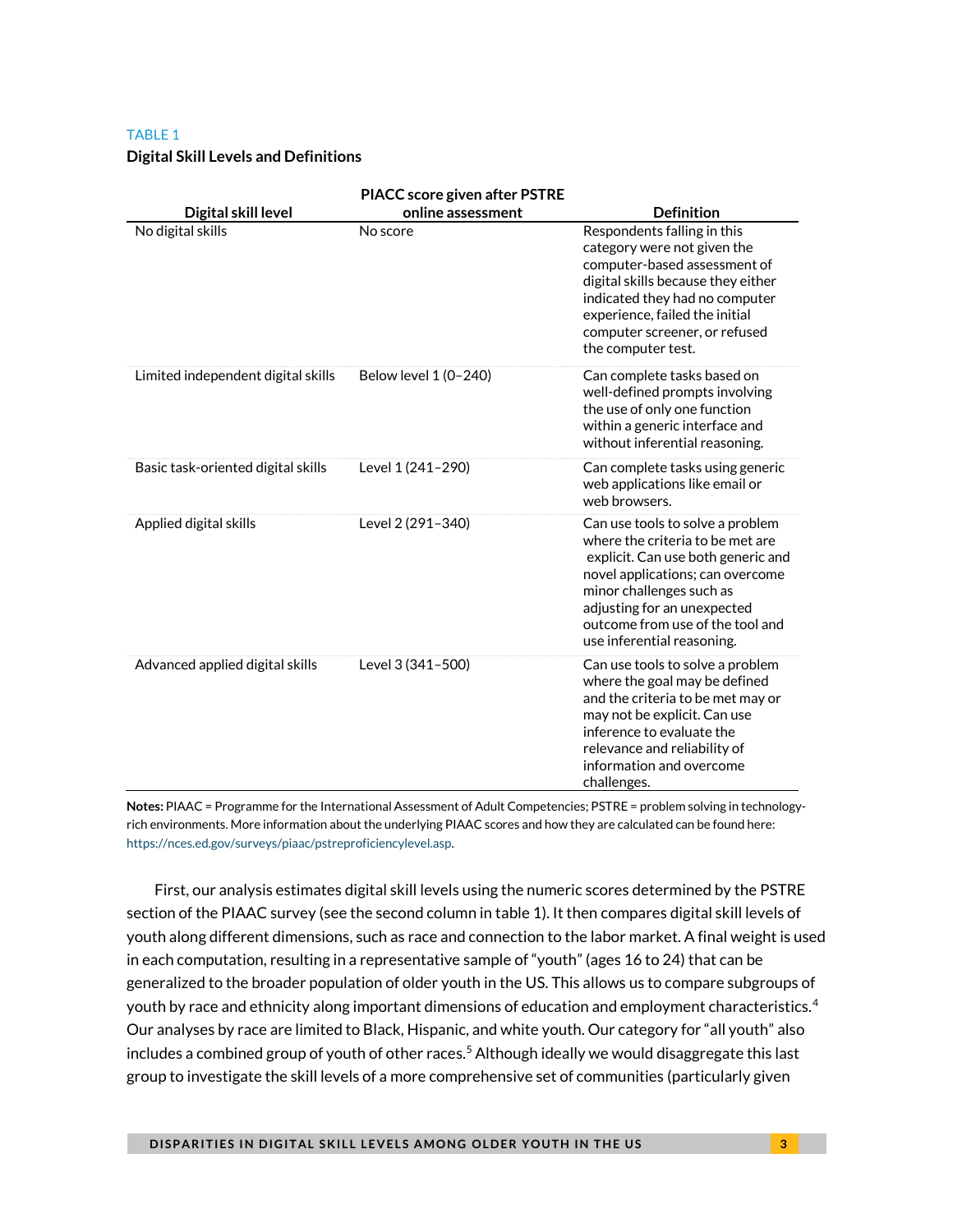#### TABLE 1

#### **Digital Skill Levels and Definitions**

| Digital skill level                | <b>PIACC score given after PSTRE</b><br>online assessment | <b>Definition</b>                                                                                                                                                                                                                                                           |
|------------------------------------|-----------------------------------------------------------|-----------------------------------------------------------------------------------------------------------------------------------------------------------------------------------------------------------------------------------------------------------------------------|
| No digital skills                  | No score                                                  | Respondents falling in this<br>category were not given the<br>computer-based assessment of<br>digital skills because they either<br>indicated they had no computer<br>experience, failed the initial<br>computer screener, or refused<br>the computer test.                 |
| Limited independent digital skills | Below level 1 (0-240)                                     | Can complete tasks based on<br>well-defined prompts involving<br>the use of only one function<br>within a generic interface and<br>without inferential reasoning.                                                                                                           |
| Basic task-oriented digital skills | Level 1 (241-290)                                         | Can complete tasks using generic<br>web applications like email or<br>web browsers.                                                                                                                                                                                         |
| Applied digital skills             | Level 2 (291-340)                                         | Can use tools to solve a problem<br>where the criteria to be met are<br>explicit. Can use both generic and<br>novel applications; can overcome<br>minor challenges such as<br>adjusting for an unexpected<br>outcome from use of the tool and<br>use inferential reasoning. |
| Advanced applied digital skills    | Level 3 (341-500)                                         | Can use tools to solve a problem<br>where the goal may be defined<br>and the criteria to be met may or<br>may not be explicit. Can use<br>inference to evaluate the<br>relevance and reliability of<br>information and overcome<br>challenges.                              |

**Notes:** PIAAC = Programme for the International Assessment of Adult Competencies; PSTRE = problem solving in technologyrich environments. More information about the underlying PIAAC scores and how they are calculated can be found here: [https://nces.ed.gov/surveys/piaac/pstreproficiencylevel.asp.](https://nces.ed.gov/surveys/piaac/pstreproficiencylevel.asp)

First, our analysis estimates digital skill levels using the numeric scores determined by the PSTRE section of the PIAAC survey (see the second column in table 1). It then compares digital skill levels of youth along different dimensions, such as race and connection to the labor market. A final weight is used in each computation, resulting in a representative sample of "youth" (ages 16 to 24) that can be generalized to the broader population of older youth in the US. This allows us to compare subgroups of youth by race and ethnicity along important dimensions of education and employment characteristics.<sup>4</sup> Our analyses by race are limited to Black, Hispanic, and white youth. Our category for "all youth" also includes a combined group of youth of other races.<sup>5</sup> Although ideally we would disaggregate this last group to investigate the skill levels of a more comprehensive set of communities (particularly given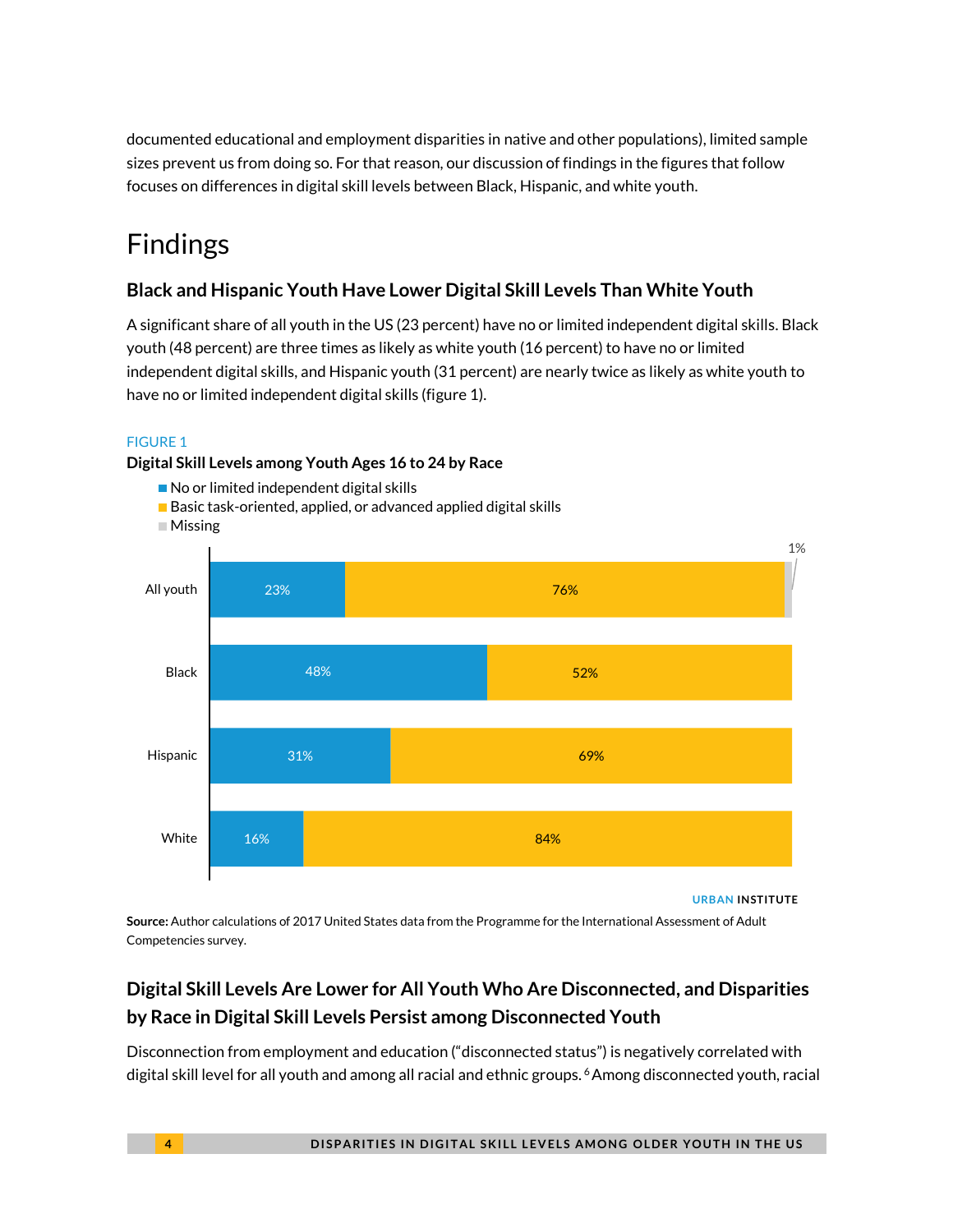documented educational and employment disparities in native and other populations), limited sample sizes prevent us from doing so. For that reason, our discussion of findings in the figures that follow focuses on differences in digital skill levels between Black, Hispanic, and white youth.

## Findings

### **Black and Hispanic Youth Have Lower Digital Skill Levels Than White Youth**

A significant share of all youth in the US (23 percent) have no or limited independent digital skills. Black youth (48 percent) are three times as likely as white youth (16 percent) to have no or limited independent digital skills, and Hispanic youth (31 percent) are nearly twice as likely as white youth to have no or limited independent digital skills (figure 1).

### FIGURE 1

### **Digital Skill Levels among Youth Ages 16 to 24 by Race**

- No or limited independent digital skills
- Basic task-oriented, applied, or advanced applied digital skills



**URBAN INSTITUTE**

**Source:** Author calculations of 2017 United States data from the Programme for the International Assessment of Adult Competencies survey.

## **Digital Skill Levels Are Lower for All Youth Who Are Disconnected, and Disparities by Race in Digital Skill Levels Persist among Disconnected Youth**

Disconnection from employment and education ("disconnected status") is negatively correlated with digital skill level for all youth and among all racial and ethnic groups. <sup>6</sup>Among disconnected youth, racial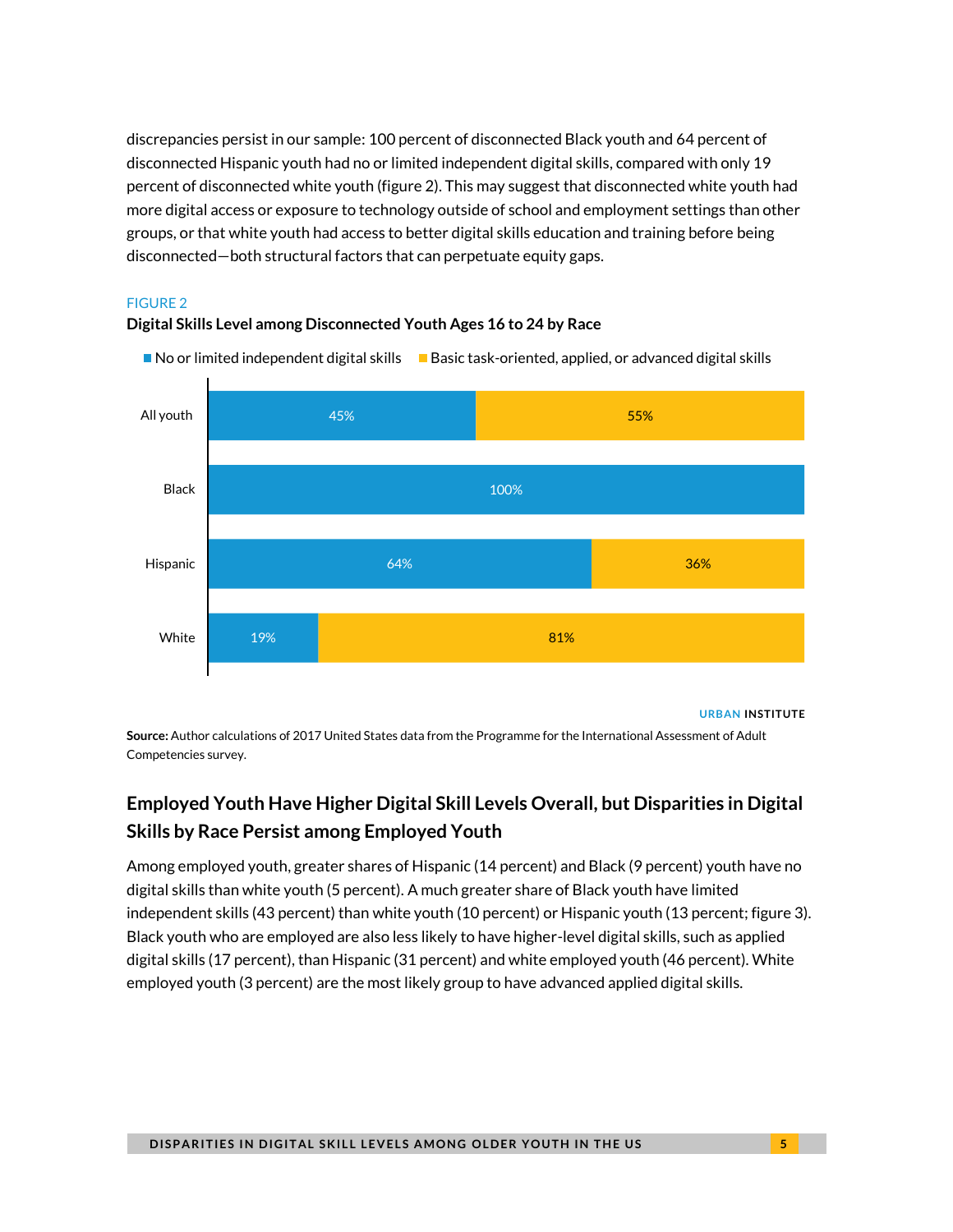discrepancies persist in our sample: 100 percent of disconnected Black youth and 64 percent of disconnected Hispanic youth had no or limited independent digital skills, compared with only 19 percent of disconnected white youth (figure 2). This may suggest that disconnected white youth had more digital access or exposure to technology outside of school and employment settings than other groups, or that white youth had access to better digital skills education and training before being disconnected—both structural factors that can perpetuate equity gaps.

### FIGURE 2

### **Digital Skills Level among Disconnected Youth Ages 16 to 24 by Race**





**URBAN INSTITUTE**

**Source:** Author calculations of 2017 United States data from the Programme for the International Assessment of Adult Competencies survey.

## **Employed Youth Have Higher Digital Skill Levels Overall, but Disparities in Digital Skills by Race Persist among Employed Youth**

Among employed youth, greater shares of Hispanic (14 percent) and Black (9 percent) youth have no digital skills than white youth (5 percent). A much greater share of Black youth have limited independent skills (43 percent) than white youth (10 percent) or Hispanic youth (13 percent; figure 3). Black youth who are employed are also less likely to have higher-level digital skills, such as applied digital skills (17 percent), than Hispanic (31 percent) and white employed youth (46 percent). White employed youth (3 percent) are the most likely group to have advanced applied digital skills.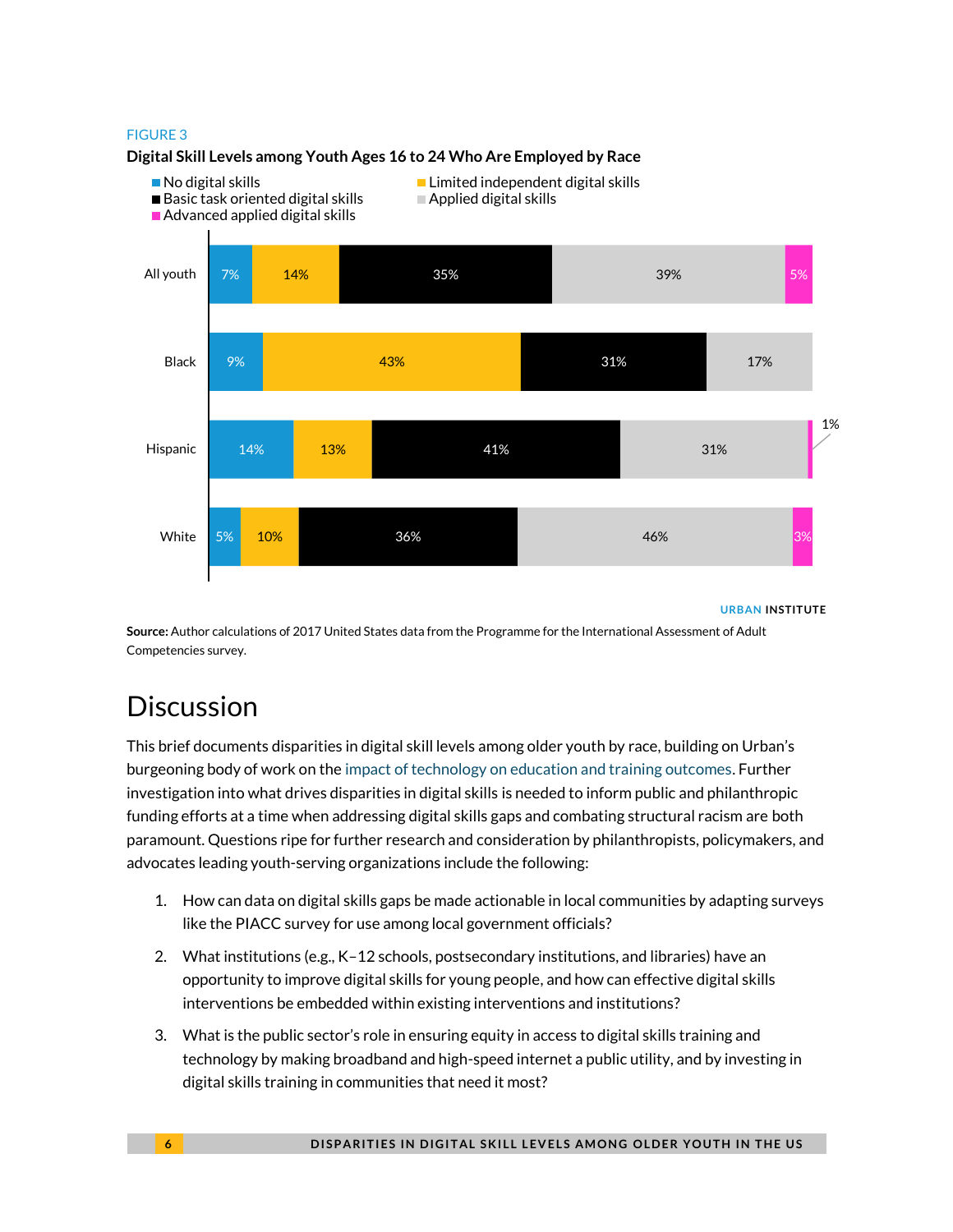### FIGURE 3



### **Digital Skill Levels among Youth Ages 16 to 24 Who Are Employed by Race**

#### **URBAN INSTITUTE**

**Source:** Author calculations of 2017 United States data from the Programme for the International Assessment of Adult Competencies survey.

## **Discussion**

This brief documents disparities in digital skill levels among older youth by race, building on Urban's burgeoning body of work on th[e impact of technology on education and training outcomes.](https://www.urban.org/policy-centers/cross-center-initiatives/building-americas-workforce/projects/technology-and-future-learning-and-training) Further investigation into what drives disparities in digital skills is needed to inform public and philanthropic funding efforts at a time when addressing digital skills gaps and combating structural racism are both paramount. Questions ripe for further research and consideration by philanthropists, policymakers, and advocates leading youth-serving organizations include the following:

- 1. How can data on digital skills gaps be made actionable in local communities by adapting surveys like the PIACC survey for use among local government officials?
- 2. What institutions (e.g., K–12 schools, postsecondary institutions, and libraries) have an opportunity to improve digital skills for young people, and how can effective digital skills interventions be embedded within existing interventions and institutions?
- 3. What is the public sector's role in ensuring equity in access to digital skills training and technology by making broadband and high-speed internet a public utility, and by investing in digital skills training in communities that need it most?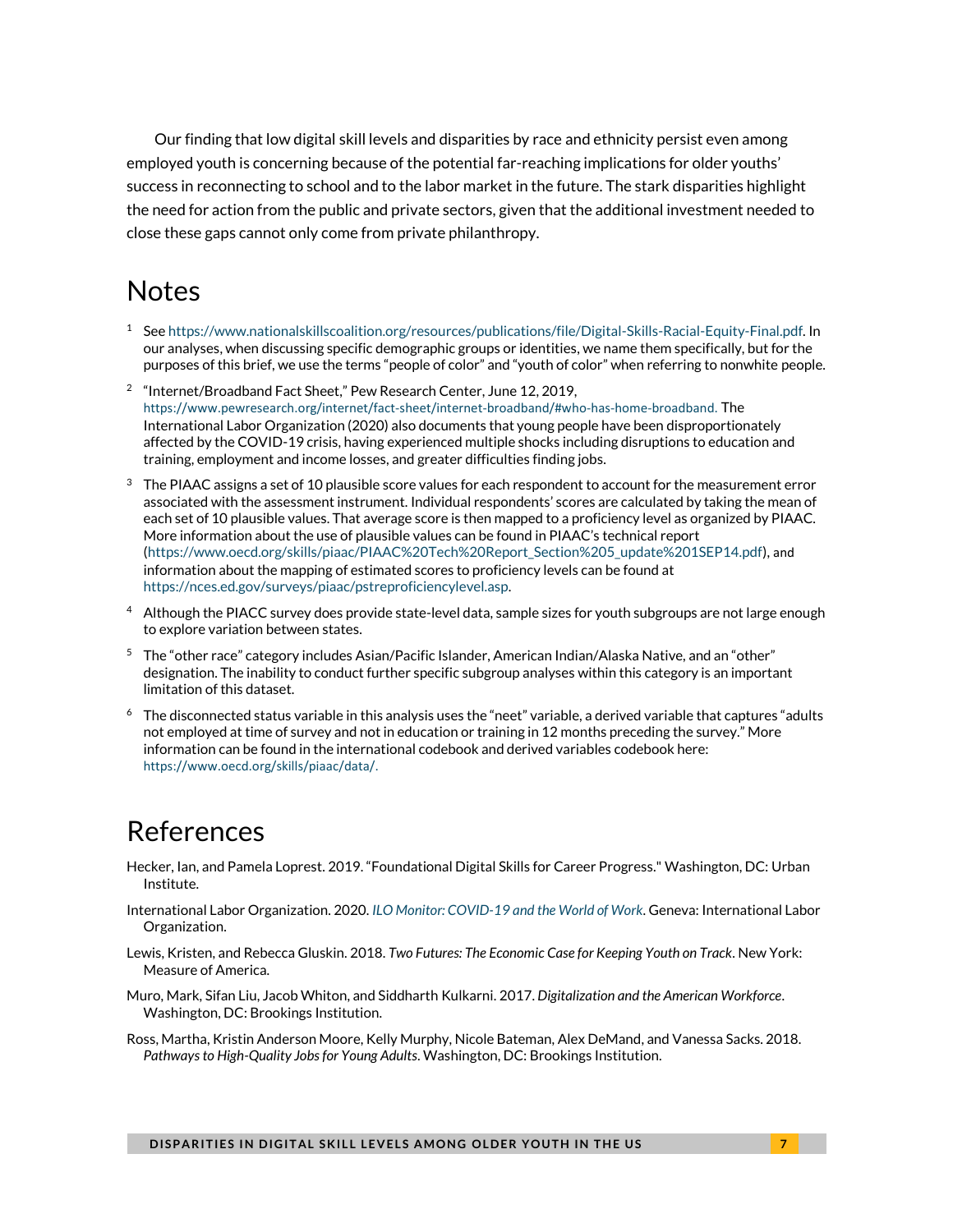Our finding that low digital skill levels and disparities by race and ethnicity persist even among employed youth is concerning because of the potential far-reaching implications for older youths' success in reconnecting to school and to the labor market in the future. The stark disparities highlight the need for action from the public and private sectors, given that the additional investment needed to close these gaps cannot only come from private philanthropy.

## Notes

- <sup>1</sup> Se[e https://www.nationalskillscoalition.org/resources/publications/file/Digital-Skills-Racial-Equity-Final.pdf.](https://www.nationalskillscoalition.org/resources/publications/file/Digital-Skills-Racial-Equity-Final.pdf) In our analyses, when discussing specific demographic groups or identities, we name them specifically, but for the purposes of this brief, we use the terms "people of color" and "youth of color" when referring to nonwhite people.
- <sup>2</sup> "Internet/Broadband Fact Sheet," Pew Research Center, June 12, 2019, [https://www.pewresearch.org/internet/fact-sheet/internet-broadband/#who-has-home-broadband.](https://www.pewresearch.org/internet/fact-sheet/internet-broadband/#who-has-home-broadband) The International Labor Organization (2020) also documents that young people have been disproportionately affected by the COVID-19 crisis, having experienced multiple shocks including disruptions to education and training, employment and income losses, and greater difficulties finding jobs.
- $3$  The PIAAC assigns a set of 10 plausible score values for each respondent to account for the measurement error associated with the assessment instrument. Individual respondents' scores are calculated by taking the mean of each set of 10 plausible values. That average score is then mapped to a proficiency level as organized by PIAAC. More information about the use of plausible values can be found in PIAAC's technical report [\(https://www.oecd.org/skills/piaac/PIAAC%20Tech%20Report\\_Section%205\\_update%201SEP14.pdf\)](https://www.oecd.org/skills/piaac/PIAAC%20Tech%20Report_Section%205_update%201SEP14.pdf), and information about the mapping of estimated scores to proficiency levels can be found at [https://nces.ed.gov/surveys/piaac/pstreproficiencylevel.asp.](https://nces.ed.gov/surveys/piaac/pstreproficiencylevel.asp)
- <sup>4</sup> Although the PIACC survey does provide state-level data, sample sizes for youth subgroups are not large enough to explore variation between states.
- <sup>5</sup> The "other race" category includes Asian/Pacific Islander, American Indian/Alaska Native, and an "other" designation. The inability to conduct further specific subgroup analyses within this category is an important limitation of this dataset.
- $6$  The disconnected status variable in this analysis uses the "neet" variable, a derived variable that captures "adults not employed at time of survey and not in education or training in 12 months preceding the survey." More information can be found in the international codebook and derived variables codebook here: [https://www.oecd.org/skills/piaac/data/.](https://www.oecd.org/skills/piaac/data/)

## References

- Hecker, Ian, and Pamela Loprest. 2019. "Foundational Digital Skills for Career Progress." Washington, DC: Urban Institute.
- International Labor Organization. 2020. *[ILO Monitor: COVID-19 and the World of Work](https://www.ilo.org/wcmsp5/groups/public/---dgreports/---dcomm/documents/briefingnote/wcms_745963.pdf)*. Geneva: International Labor Organization.
- Lewis, Kristen, and Rebecca Gluskin. 2018. *Two Futures: The Economic Case for Keeping Youth on Track*. New York: Measure of America.
- Muro, Mark, Sifan Liu, Jacob Whiton, and Siddharth Kulkarni. 2017. *Digitalization and the American Workforce*. Washington, DC: Brookings Institution.
- Ross, Martha, Kristin Anderson Moore, Kelly Murphy, Nicole Bateman, Alex DeMand, and Vanessa Sacks. 2018. *Pathways to High-Quality Jobs for Young Adults*. Washington, DC: Brookings Institution.